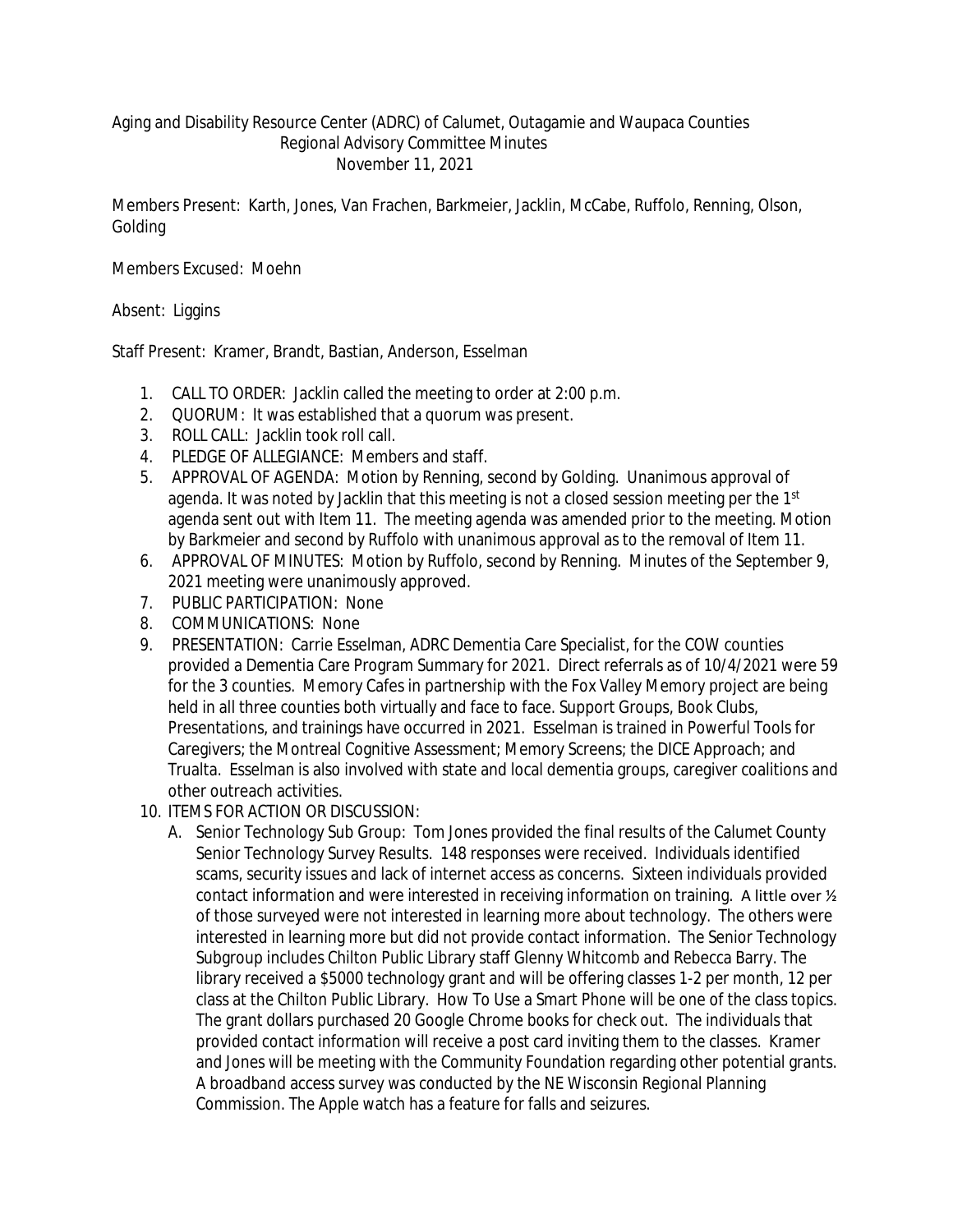## Aging and Disability Resource Center (ADRC) of Calumet, Outagamie and Waupaca Counties Regional Advisory Committee Minutes November 11, 2021

Members Present: Karth, Jones, Van Frachen, Barkmeier, Jacklin, McCabe, Ruffolo, Renning, Olson, Golding

Members Excused: Moehn

Absent: Liggins

Staff Present: Kramer, Brandt, Bastian, Anderson, Esselman

- 1. CALL TO ORDER: Jacklin called the meeting to order at 2:00 p.m.
- 2. QUORUM: It was established that a quorum was present.
- 3. ROLL CALL: Jacklin took roll call.
- 4. PLEDGE OF ALLEGIANCE: Members and staff.
- 5. APPROVAL OF AGENDA: Motion by Renning, second by Golding. Unanimous approval of agenda. It was noted by Jacklin that this meeting is not a closed session meeting per the 1<sup>st</sup> agenda sent out with Item 11. The meeting agenda was amended prior to the meeting. Motion by Barkmeier and second by Ruffolo with unanimous approval as to the removal of Item 11.
- 6. APPROVAL OF MINUTES: Motion by Ruffolo, second by Renning. Minutes of the September 9, 2021 meeting were unanimously approved.
- 7. PUBLIC PARTICIPATION: None
- 8. COMMUNICATIONS: None
- 9. PRESENTATION: Carrie Esselman, ADRC Dementia Care Specialist, for the COW counties provided a Dementia Care Program Summary for 2021. Direct referrals as of 10/4/2021 were 59 for the 3 counties. Memory Cafes in partnership with the Fox Valley Memory project are being held in all three counties both virtually and face to face. Support Groups, Book Clubs, Presentations, and trainings have occurred in 2021. Esselman is trained in Powerful Tools for Caregivers; the Montreal Cognitive Assessment; Memory Screens; the DICE Approach; and Trualta. Esselman is also involved with state and local dementia groups, caregiver coalitions and other outreach activities.
- 10. ITEMS FOR ACTION OR DISCUSSION:
	- A. Senior Technology Sub Group: Tom Jones provided the final results of the Calumet County Senior Technology Survey Results. 148 responses were received. Individuals identified scams, security issues and lack of internet access as concerns. Sixteen individuals provided contact information and were interested in receiving information on training. A little over  $\frac{1}{2}$ of those surveyed were not interested in learning more about technology. The others were interested in learning more but did not provide contact information. The Senior Technology Subgroup includes Chilton Public Library staff Glenny Whitcomb and Rebecca Barry. The library received a \$5000 technology grant and will be offering classes 1-2 per month, 12 per class at the Chilton Public Library. How To Use a Smart Phone will be one of the class topics. The grant dollars purchased 20 Google Chrome books for check out. The individuals that provided contact information will receive a post card inviting them to the classes. Kramer and Jones will be meeting with the Community Foundation regarding other potential grants. A broadband access survey was conducted by the NE Wisconsin Regional Planning Commission. The Apple watch has a feature for falls and seizures.